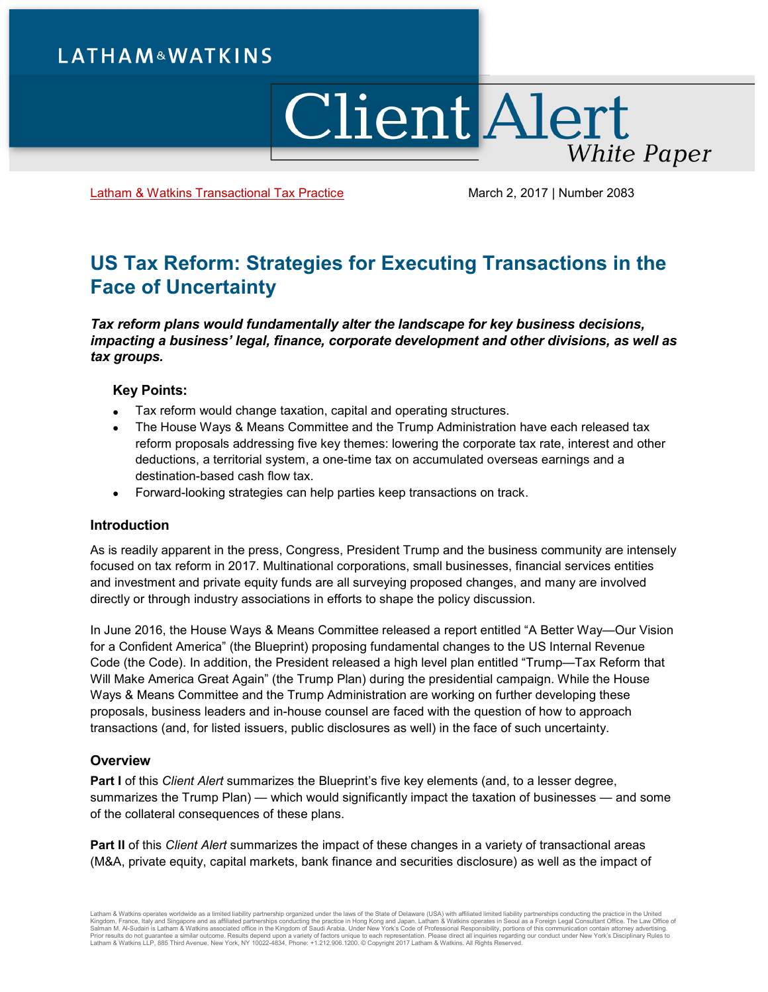# **LATHAM&WATKINS**

# **Client Alert White Paper**

[Latham & Watkins Transactional Tax Practice](https://www.lw.com/practices/TransactionalTax) March 2, 2017 | Number 2083

# **US Tax Reform: Strategies for Executing Transactions in the Face of Uncertainty**

*Tax reform plans would fundamentally alter the landscape for key business decisions, impacting a business' legal, finance, corporate development and other divisions, as well as tax groups.*

# **Key Points:**

- Tax reform would change taxation, capital and operating structures.
- The House Ways & Means Committee and the Trump Administration have each released tax reform proposals addressing five key themes: lowering the corporate tax rate, interest and other deductions, a territorial system, a one-time tax on accumulated overseas earnings and a destination-based cash flow tax.
- Forward-looking strategies can help parties keep transactions on track.

# **Introduction**

As is readily apparent in the press, Congress, President Trump and the business community are intensely focused on tax reform in 2017. Multinational corporations, small businesses, financial services entities and investment and private equity funds are all surveying proposed changes, and many are involved directly or through industry associations in efforts to shape the policy discussion.

In June 2016, the House Ways & Means Committee released a report entitled "A Better Way—Our Vision for a Confident America" (the Blueprint) proposing fundamental changes to the US Internal Revenue Code (the Code). In addition, the President released a high level plan entitled "Trump—Tax Reform that Will Make America Great Again" (the Trump Plan) during the presidential campaign. While the House Ways & Means Committee and the Trump Administration are working on further developing these proposals, business leaders and in-house counsel are faced with the question of how to approach transactions (and, for listed issuers, public disclosures as well) in the face of such uncertainty.

# **Overview**

**Part I** of this *Client Alert* summarizes the Blueprint's five key elements (and, to a lesser degree, summarizes the Trump Plan) — which would significantly impact the taxation of businesses — and some of the collateral consequences of these plans.

**Part II** of this *Client Alert* summarizes the impact of these changes in a variety of transactional areas (M&A, private equity, capital markets, bank finance and securities disclosure) as well as the impact of

Latham & Watkins operates worldwide as a limited liability partnership organized under the laws of the State of Delaware (USA) with affiliated partnerships conducting the practice in Hong Kong and Japan. Latham & Watkins o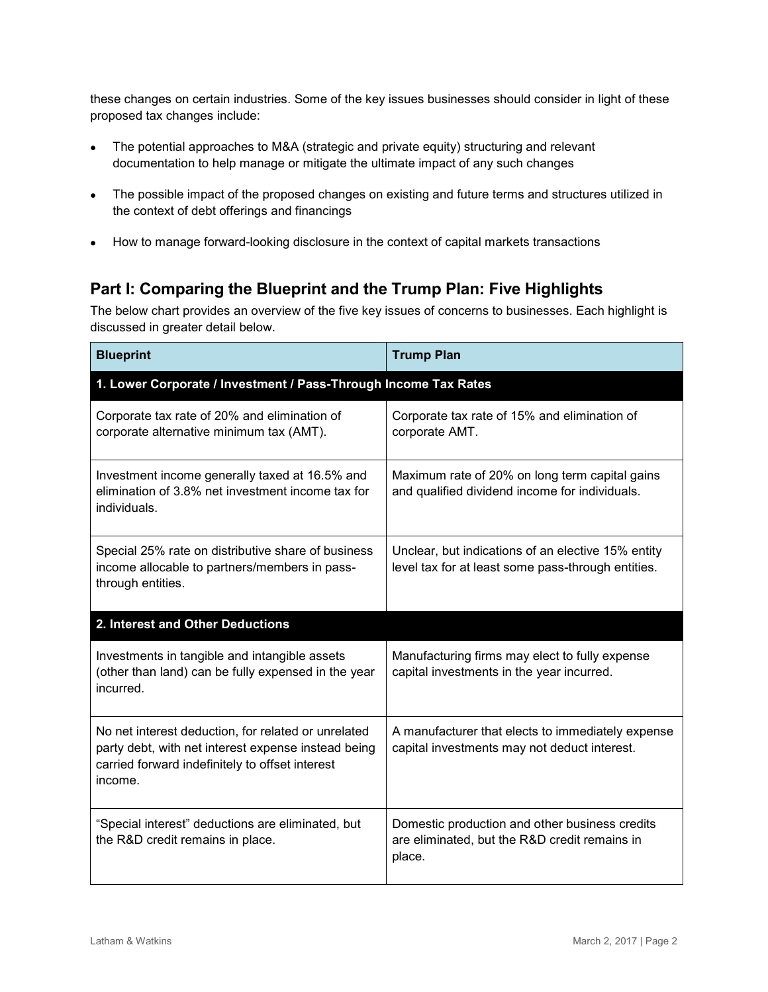these changes on certain industries. Some of the key issues businesses should consider in light of these proposed tax changes include:

- The potential approaches to M&A (strategic and private equity) structuring and relevant documentation to help manage or mitigate the ultimate impact of any such changes
- The possible impact of the proposed changes on existing and future terms and structures utilized in the context of debt offerings and financings
- How to manage forward-looking disclosure in the context of capital markets transactions

# **Part I: Comparing the Blueprint and the Trump Plan: Five Highlights**

The below chart provides an overview of the five key issues of concerns to businesses. Each highlight is discussed in greater detail below.

| <b>Blueprint</b>                                                                                                                                                         | <b>Trump Plan</b>                                                                                         |  |  |  |
|--------------------------------------------------------------------------------------------------------------------------------------------------------------------------|-----------------------------------------------------------------------------------------------------------|--|--|--|
| 1. Lower Corporate / Investment / Pass-Through Income Tax Rates                                                                                                          |                                                                                                           |  |  |  |
| Corporate tax rate of 20% and elimination of<br>corporate alternative minimum tax (AMT).                                                                                 | Corporate tax rate of 15% and elimination of<br>corporate AMT.                                            |  |  |  |
| Investment income generally taxed at 16.5% and<br>elimination of 3.8% net investment income tax for<br>individuals.                                                      | Maximum rate of 20% on long term capital gains<br>and qualified dividend income for individuals.          |  |  |  |
| Special 25% rate on distributive share of business<br>income allocable to partners/members in pass-<br>through entities.                                                 | Unclear, but indications of an elective 15% entity<br>level tax for at least some pass-through entities.  |  |  |  |
| 2. Interest and Other Deductions                                                                                                                                         |                                                                                                           |  |  |  |
| Investments in tangible and intangible assets<br>(other than land) can be fully expensed in the year<br>incurred.                                                        | Manufacturing firms may elect to fully expense<br>capital investments in the year incurred.               |  |  |  |
| No net interest deduction, for related or unrelated<br>party debt, with net interest expense instead being<br>carried forward indefinitely to offset interest<br>income. | A manufacturer that elects to immediately expense<br>capital investments may not deduct interest.         |  |  |  |
| "Special interest" deductions are eliminated, but<br>the R&D credit remains in place.                                                                                    | Domestic production and other business credits<br>are eliminated, but the R&D credit remains in<br>place. |  |  |  |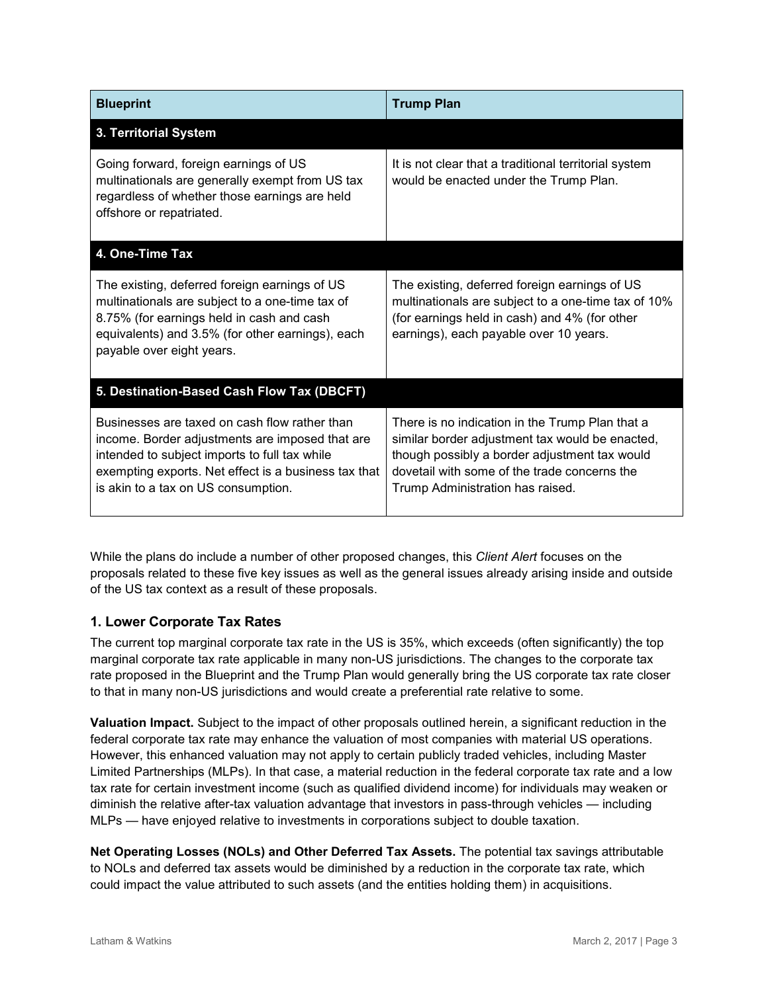| <b>Blueprint</b>                                                                                                                                                                                                                                 | <b>Trump Plan</b>                                                                                                                                                                                                                       |  |  |
|--------------------------------------------------------------------------------------------------------------------------------------------------------------------------------------------------------------------------------------------------|-----------------------------------------------------------------------------------------------------------------------------------------------------------------------------------------------------------------------------------------|--|--|
| 3. Territorial System                                                                                                                                                                                                                            |                                                                                                                                                                                                                                         |  |  |
| Going forward, foreign earnings of US<br>multinationals are generally exempt from US tax<br>regardless of whether those earnings are held<br>offshore or repatriated.                                                                            | It is not clear that a traditional territorial system<br>would be enacted under the Trump Plan.                                                                                                                                         |  |  |
| 4. One-Time Tax                                                                                                                                                                                                                                  |                                                                                                                                                                                                                                         |  |  |
| The existing, deferred foreign earnings of US<br>multinationals are subject to a one-time tax of<br>8.75% (for earnings held in cash and cash<br>equivalents) and 3.5% (for other earnings), each<br>payable over eight years.                   | The existing, deferred foreign earnings of US<br>multinationals are subject to a one-time tax of 10%<br>(for earnings held in cash) and 4% (for other<br>earnings), each payable over 10 years.                                         |  |  |
| 5. Destination-Based Cash Flow Tax (DBCFT)                                                                                                                                                                                                       |                                                                                                                                                                                                                                         |  |  |
| Businesses are taxed on cash flow rather than<br>income. Border adjustments are imposed that are<br>intended to subject imports to full tax while<br>exempting exports. Net effect is a business tax that<br>is akin to a tax on US consumption. | There is no indication in the Trump Plan that a<br>similar border adjustment tax would be enacted,<br>though possibly a border adjustment tax would<br>dovetail with some of the trade concerns the<br>Trump Administration has raised. |  |  |

While the plans do include a number of other proposed changes, this *Client Alert* focuses on the proposals related to these five key issues as well as the general issues already arising inside and outside of the US tax context as a result of these proposals.

# **1. Lower Corporate Tax Rates**

The current top marginal corporate tax rate in the US is 35%, which exceeds (often significantly) the top marginal corporate tax rate applicable in many non-US jurisdictions. The changes to the corporate tax rate proposed in the Blueprint and the Trump Plan would generally bring the US corporate tax rate closer to that in many non-US jurisdictions and would create a preferential rate relative to some.

**Valuation Impact.** Subject to the impact of other proposals outlined herein, a significant reduction in the federal corporate tax rate may enhance the valuation of most companies with material US operations. However, this enhanced valuation may not apply to certain publicly traded vehicles, including Master Limited Partnerships (MLPs). In that case, a material reduction in the federal corporate tax rate and a low tax rate for certain investment income (such as qualified dividend income) for individuals may weaken or diminish the relative after-tax valuation advantage that investors in pass-through vehicles — including MLPs — have enjoyed relative to investments in corporations subject to double taxation.

**Net Operating Losses (NOLs) and Other Deferred Tax Assets.** The potential tax savings attributable to NOLs and deferred tax assets would be diminished by a reduction in the corporate tax rate, which could impact the value attributed to such assets (and the entities holding them) in acquisitions.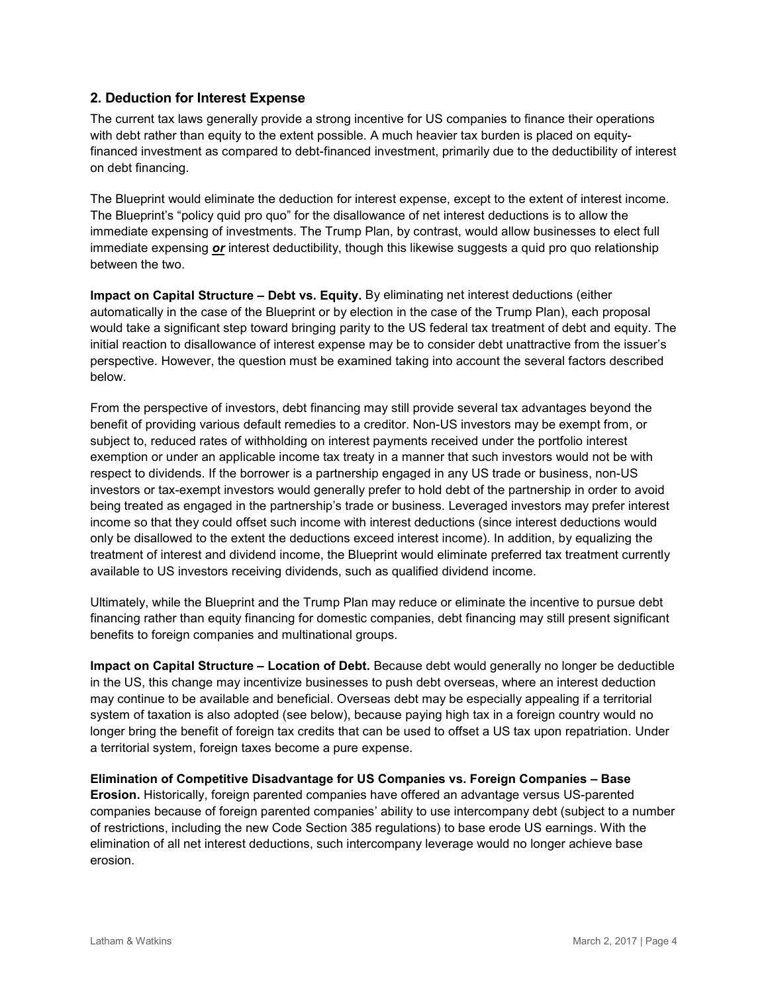# **2. Deduction for Interest Expense**

The current tax laws generally provide a strong incentive for US companies to finance their operations with debt rather than equity to the extent possible. A much heavier tax burden is placed on equityfinanced investment as compared to debt-financed investment, primarily due to the deductibility of interest on debt financing.

The Blueprint would eliminate the deduction for interest expense, except to the extent of interest income. The Blueprint's "policy quid pro quo" for the disallowance of net interest deductions is to allow the immediate expensing of investments. The Trump Plan, by contrast, would allow businesses to elect full immediate expensing *or* interest deductibility, though this likewise suggests a quid pro quo relationship between the two.

**Impact on Capital Structure – Debt vs. Equity.** By eliminating net interest deductions (either automatically in the case of the Blueprint or by election in the case of the Trump Plan), each proposal would take a significant step toward bringing parity to the US federal tax treatment of debt and equity. The initial reaction to disallowance of interest expense may be to consider debt unattractive from the issuer's perspective. However, the question must be examined taking into account the several factors described below.

From the perspective of investors, debt financing may still provide several tax advantages beyond the benefit of providing various default remedies to a creditor. Non-US investors may be exempt from, or subject to, reduced rates of withholding on interest payments received under the portfolio interest exemption or under an applicable income tax treaty in a manner that such investors would not be with respect to dividends. If the borrower is a partnership engaged in any US trade or business, non-US investors or tax-exempt investors would generally prefer to hold debt of the partnership in order to avoid being treated as engaged in the partnership's trade or business. Leveraged investors may prefer interest income so that they could offset such income with interest deductions (since interest deductions would only be disallowed to the extent the deductions exceed interest income). In addition, by equalizing the treatment of interest and dividend income, the Blueprint would eliminate preferred tax treatment currently available to US investors receiving dividends, such as qualified dividend income.

Ultimately, while the Blueprint and the Trump Plan may reduce or eliminate the incentive to pursue debt financing rather than equity financing for domestic companies, debt financing may still present significant benefits to foreign companies and multinational groups.

**Impact on Capital Structure – Location of Debt.** Because debt would generally no longer be deductible in the US, this change may incentivize businesses to push debt overseas, where an interest deduction may continue to be available and beneficial. Overseas debt may be especially appealing if a territorial system of taxation is also adopted (see below), because paying high tax in a foreign country would no longer bring the benefit of foreign tax credits that can be used to offset a US tax upon repatriation. Under a territorial system, foreign taxes become a pure expense.

**Elimination of Competitive Disadvantage for US Companies vs. Foreign Companies – Base Erosion.** Historically, foreign parented companies have offered an advantage versus US-parented companies because of foreign parented companies' ability to use intercompany debt (subject to a number of restrictions, including the new Code Section 385 regulations) to base erode US earnings. With the elimination of all net interest deductions, such intercompany leverage would no longer achieve base erosion.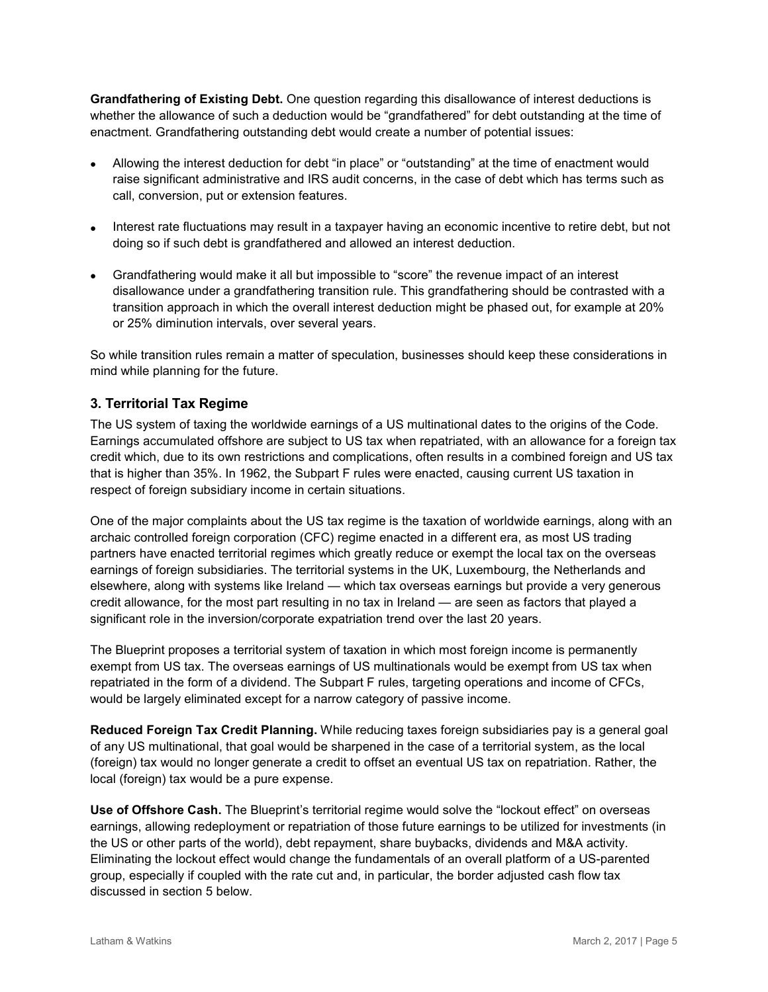**Grandfathering of Existing Debt.** One question regarding this disallowance of interest deductions is whether the allowance of such a deduction would be "grandfathered" for debt outstanding at the time of enactment. Grandfathering outstanding debt would create a number of potential issues:

- Allowing the interest deduction for debt "in place" or "outstanding" at the time of enactment would raise significant administrative and IRS audit concerns, in the case of debt which has terms such as call, conversion, put or extension features.
- Interest rate fluctuations may result in a taxpayer having an economic incentive to retire debt, but not doing so if such debt is grandfathered and allowed an interest deduction.
- Grandfathering would make it all but impossible to "score" the revenue impact of an interest disallowance under a grandfathering transition rule. This grandfathering should be contrasted with a transition approach in which the overall interest deduction might be phased out, for example at 20% or 25% diminution intervals, over several years.

So while transition rules remain a matter of speculation, businesses should keep these considerations in mind while planning for the future.

# **3. Territorial Tax Regime**

The US system of taxing the worldwide earnings of a US multinational dates to the origins of the Code. Earnings accumulated offshore are subject to US tax when repatriated, with an allowance for a foreign tax credit which, due to its own restrictions and complications, often results in a combined foreign and US tax that is higher than 35%. In 1962, the Subpart F rules were enacted, causing current US taxation in respect of foreign subsidiary income in certain situations.

One of the major complaints about the US tax regime is the taxation of worldwide earnings, along with an archaic controlled foreign corporation (CFC) regime enacted in a different era, as most US trading partners have enacted territorial regimes which greatly reduce or exempt the local tax on the overseas earnings of foreign subsidiaries. The territorial systems in the UK, Luxembourg, the Netherlands and elsewhere, along with systems like Ireland — which tax overseas earnings but provide a very generous credit allowance, for the most part resulting in no tax in Ireland — are seen as factors that played a significant role in the inversion/corporate expatriation trend over the last 20 years.

The Blueprint proposes a territorial system of taxation in which most foreign income is permanently exempt from US tax. The overseas earnings of US multinationals would be exempt from US tax when repatriated in the form of a dividend. The Subpart F rules, targeting operations and income of CFCs, would be largely eliminated except for a narrow category of passive income.

**Reduced Foreign Tax Credit Planning.** While reducing taxes foreign subsidiaries pay is a general goal of any US multinational, that goal would be sharpened in the case of a territorial system, as the local (foreign) tax would no longer generate a credit to offset an eventual US tax on repatriation. Rather, the local (foreign) tax would be a pure expense.

**Use of Offshore Cash.** The Blueprint's territorial regime would solve the "lockout effect" on overseas earnings, allowing redeployment or repatriation of those future earnings to be utilized for investments (in the US or other parts of the world), debt repayment, share buybacks, dividends and M&A activity. Eliminating the lockout effect would change the fundamentals of an overall platform of a US-parented group, especially if coupled with the rate cut and, in particular, the border adjusted cash flow tax discussed in section 5 below.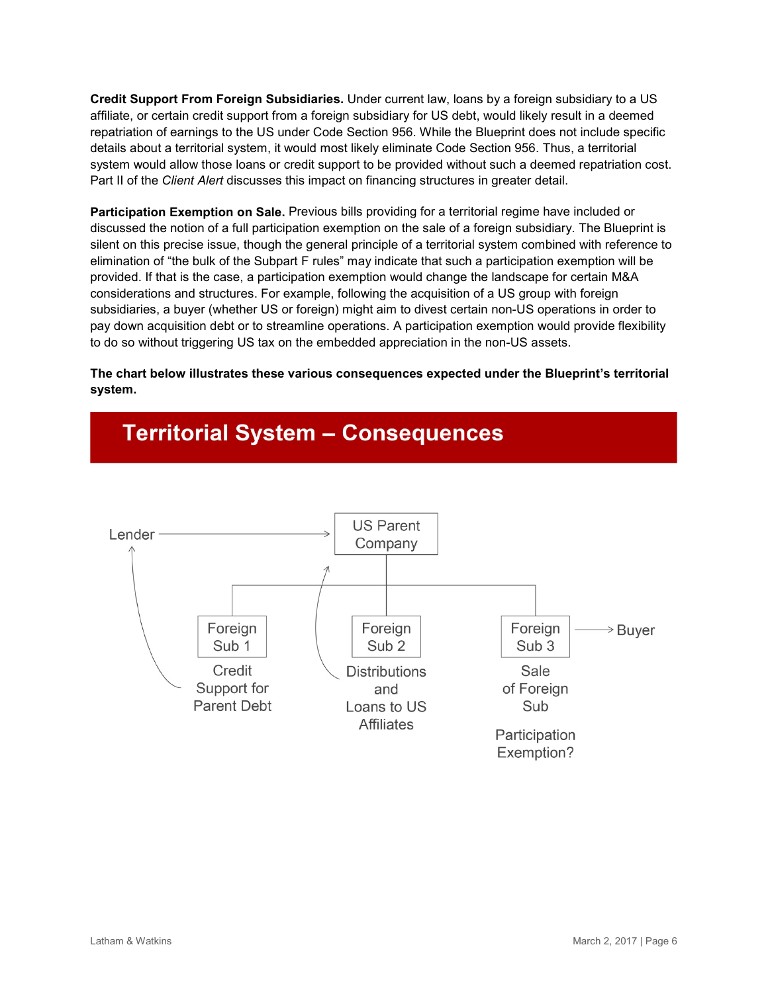**Credit Support From Foreign Subsidiaries.** Under current law, loans by a foreign subsidiary to a US affiliate, or certain credit support from a foreign subsidiary for US debt, would likely result in a deemed repatriation of earnings to the US under Code Section 956. While the Blueprint does not include specific details about a territorial system, it would most likely eliminate Code Section 956. Thus, a territorial system would allow those loans or credit support to be provided without such a deemed repatriation cost. Part II of the *Client Alert* discusses this impact on financing structures in greater detail.

**Participation Exemption on Sale.** Previous bills providing for a territorial regime have included or discussed the notion of a full participation exemption on the sale of a foreign subsidiary. The Blueprint is silent on this precise issue, though the general principle of a territorial system combined with reference to elimination of "the bulk of the Subpart F rules" may indicate that such a participation exemption will be provided. If that is the case, a participation exemption would change the landscape for certain M&A considerations and structures. For example, following the acquisition of a US group with foreign subsidiaries, a buyer (whether US or foreign) might aim to divest certain non-US operations in order to pay down acquisition debt or to streamline operations. A participation exemption would provide flexibility to do so without triggering US tax on the embedded appreciation in the non-US assets.

**The chart below illustrates these various consequences expected under the Blueprint's territorial system.**



# **Territorial System - Consequences**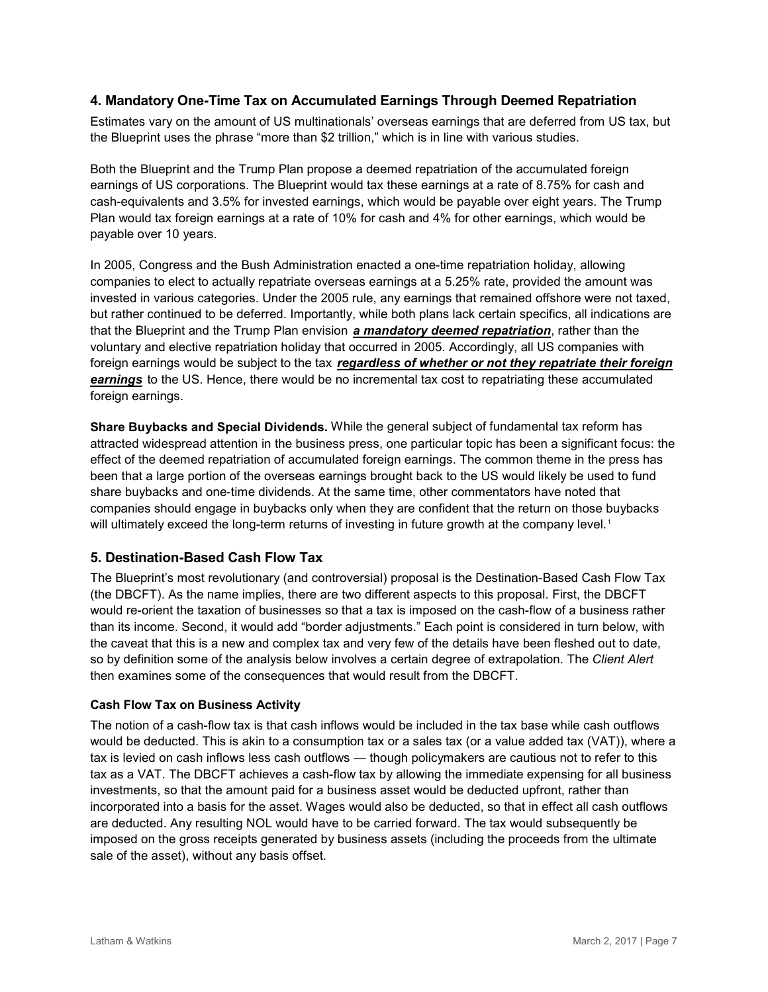# **4. Mandatory One-Time Tax on Accumulated Earnings Through Deemed Repatriation**

Estimates vary on the amount of US multinationals' overseas earnings that are deferred from US tax, but the Blueprint uses the phrase "more than \$2 trillion," which is in line with various studies.

Both the Blueprint and the Trump Plan propose a deemed repatriation of the accumulated foreign earnings of US corporations. The Blueprint would tax these earnings at a rate of 8.75% for cash and cash-equivalents and 3.5% for invested earnings, which would be payable over eight years. The Trump Plan would tax foreign earnings at a rate of 10% for cash and 4% for other earnings, which would be payable over 10 years.

In 2005, Congress and the Bush Administration enacted a one-time repatriation holiday, allowing companies to elect to actually repatriate overseas earnings at a 5.25% rate, provided the amount was invested in various categories. Under the 2005 rule, any earnings that remained offshore were not taxed, but rather continued to be deferred. Importantly, while both plans lack certain specifics, all indications are that the Blueprint and the Trump Plan envision *a mandatory deemed repatriation*, rather than the voluntary and elective repatriation holiday that occurred in 2005. Accordingly, all US companies with foreign earnings would be subject to the tax *regardless of whether or not they repatriate their foreign earnings* to the US. Hence, there would be no incremental tax cost to repatriating these accumulated foreign earnings.

**Share Buybacks and Special Dividends.** While the general subject of fundamental tax reform has attracted widespread attention in the business press, one particular topic has been a significant focus: the effect of the deemed repatriation of accumulated foreign earnings. The common theme in the press has been that a large portion of the overseas earnings brought back to the US would likely be used to fund share buybacks and one-time dividends. At the same time, other commentators have noted that companies should engage in buybacks only when they are confident that the return on those buybacks will ultimately exceed the long-term returns of investing in future growth at the company level. [1](#page-17-0)

# **5. Destination-Based Cash Flow Tax**

The Blueprint's most revolutionary (and controversial) proposal is the Destination-Based Cash Flow Tax (the DBCFT). As the name implies, there are two different aspects to this proposal. First, the DBCFT would re-orient the taxation of businesses so that a tax is imposed on the cash-flow of a business rather than its income. Second, it would add "border adjustments." Each point is considered in turn below, with the caveat that this is a new and complex tax and very few of the details have been fleshed out to date, so by definition some of the analysis below involves a certain degree of extrapolation. The *Client Alert* then examines some of the consequences that would result from the DBCFT.

#### **Cash Flow Tax on Business Activity**

The notion of a cash-flow tax is that cash inflows would be included in the tax base while cash outflows would be deducted. This is akin to a consumption tax or a sales tax (or a value added tax (VAT)), where a tax is levied on cash inflows less cash outflows — though policymakers are cautious not to refer to this tax as a VAT. The DBCFT achieves a cash-flow tax by allowing the immediate expensing for all business investments, so that the amount paid for a business asset would be deducted upfront, rather than incorporated into a basis for the asset. Wages would also be deducted, so that in effect all cash outflows are deducted. Any resulting NOL would have to be carried forward. The tax would subsequently be imposed on the gross receipts generated by business assets (including the proceeds from the ultimate sale of the asset), without any basis offset.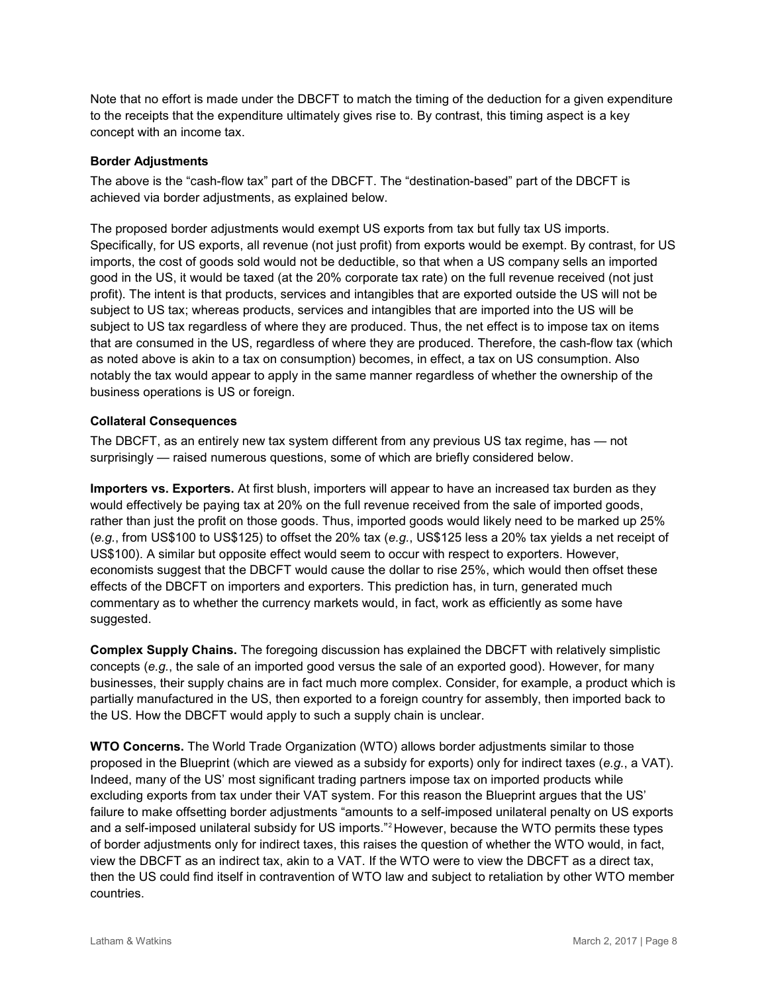Note that no effort is made under the DBCFT to match the timing of the deduction for a given expenditure to the receipts that the expenditure ultimately gives rise to. By contrast, this timing aspect is a key concept with an income tax.

### **Border Adjustments**

The above is the "cash-flow tax" part of the DBCFT. The "destination-based" part of the DBCFT is achieved via border adjustments, as explained below.

The proposed border adjustments would exempt US exports from tax but fully tax US imports. Specifically, for US exports, all revenue (not just profit) from exports would be exempt. By contrast, for US imports, the cost of goods sold would not be deductible, so that when a US company sells an imported good in the US, it would be taxed (at the 20% corporate tax rate) on the full revenue received (not just profit). The intent is that products, services and intangibles that are exported outside the US will not be subject to US tax; whereas products, services and intangibles that are imported into the US will be subject to US tax regardless of where they are produced. Thus, the net effect is to impose tax on items that are consumed in the US, regardless of where they are produced. Therefore, the cash-flow tax (which as noted above is akin to a tax on consumption) becomes, in effect, a tax on US consumption. Also notably the tax would appear to apply in the same manner regardless of whether the ownership of the business operations is US or foreign.

# **Collateral Consequences**

The DBCFT, as an entirely new tax system different from any previous US tax regime, has — not surprisingly — raised numerous questions, some of which are briefly considered below.

**Importers vs. Exporters.** At first blush, importers will appear to have an increased tax burden as they would effectively be paying tax at 20% on the full revenue received from the sale of imported goods, rather than just the profit on those goods. Thus, imported goods would likely need to be marked up 25% (*e.g.*, from US\$100 to US\$125) to offset the 20% tax (*e.g.*, US\$125 less a 20% tax yields a net receipt of US\$100). A similar but opposite effect would seem to occur with respect to exporters. However, economists suggest that the DBCFT would cause the dollar to rise 25%, which would then offset these effects of the DBCFT on importers and exporters. This prediction has, in turn, generated much commentary as to whether the currency markets would, in fact, work as efficiently as some have suggested.

**Complex Supply Chains.** The foregoing discussion has explained the DBCFT with relatively simplistic concepts (*e.g.*, the sale of an imported good versus the sale of an exported good). However, for many businesses, their supply chains are in fact much more complex. Consider, for example, a product which is partially manufactured in the US, then exported to a foreign country for assembly, then imported back to the US. How the DBCFT would apply to such a supply chain is unclear.

**WTO Concerns.** The World Trade Organization (WTO) allows border adjustments similar to those proposed in the Blueprint (which are viewed as a subsidy for exports) only for indirect taxes (*e.g.*, a VAT). Indeed, many of the US' most significant trading partners impose tax on imported products while excluding exports from tax under their VAT system. For this reason the Blueprint argues that the US' failure to make offsetting border adjustments "amounts to a self-imposed unilateral penalty on US exports and a self-imposed unilateral subsidy for US imports."<sup>[2](#page-17-1)</sup> However, because the WTO permits these types of border adjustments only for indirect taxes, this raises the question of whether the WTO would, in fact, view the DBCFT as an indirect tax, akin to a VAT. If the WTO were to view the DBCFT as a direct tax, then the US could find itself in contravention of WTO law and subject to retaliation by other WTO member countries.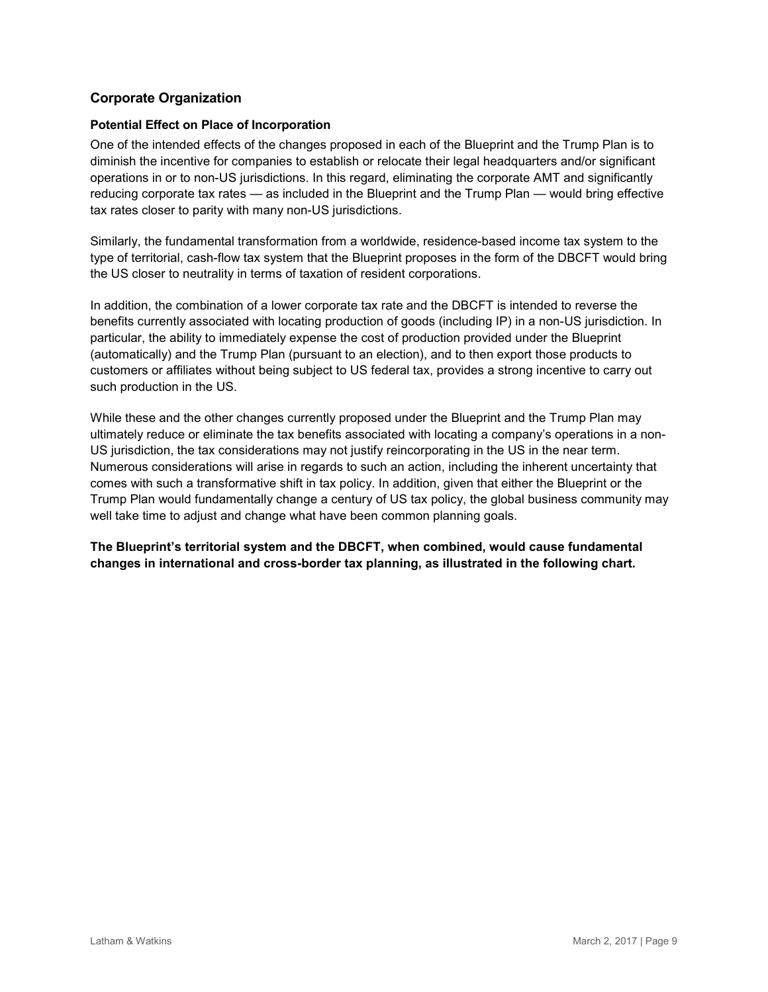# **Corporate Organization**

### **Potential Effect on Place of Incorporation**

One of the intended effects of the changes proposed in each of the Blueprint and the Trump Plan is to diminish the incentive for companies to establish or relocate their legal headquarters and/or significant operations in or to non-US jurisdictions. In this regard, eliminating the corporate AMT and significantly reducing corporate tax rates — as included in the Blueprint and the Trump Plan — would bring effective tax rates closer to parity with many non-US jurisdictions.

Similarly, the fundamental transformation from a worldwide, residence-based income tax system to the type of territorial, cash-flow tax system that the Blueprint proposes in the form of the DBCFT would bring the US closer to neutrality in terms of taxation of resident corporations.

In addition, the combination of a lower corporate tax rate and the DBCFT is intended to reverse the benefits currently associated with locating production of goods (including IP) in a non-US jurisdiction. In particular, the ability to immediately expense the cost of production provided under the Blueprint (automatically) and the Trump Plan (pursuant to an election), and to then export those products to customers or affiliates without being subject to US federal tax, provides a strong incentive to carry out such production in the US.

While these and the other changes currently proposed under the Blueprint and the Trump Plan may ultimately reduce or eliminate the tax benefits associated with locating a company's operations in a non-US jurisdiction, the tax considerations may not justify reincorporating in the US in the near term. Numerous considerations will arise in regards to such an action, including the inherent uncertainty that comes with such a transformative shift in tax policy. In addition, given that either the Blueprint or the Trump Plan would fundamentally change a century of US tax policy, the global business community may well take time to adjust and change what have been common planning goals.

**The Blueprint's territorial system and the DBCFT, when combined, would cause fundamental changes in international and cross-border tax planning, as illustrated in the following chart.**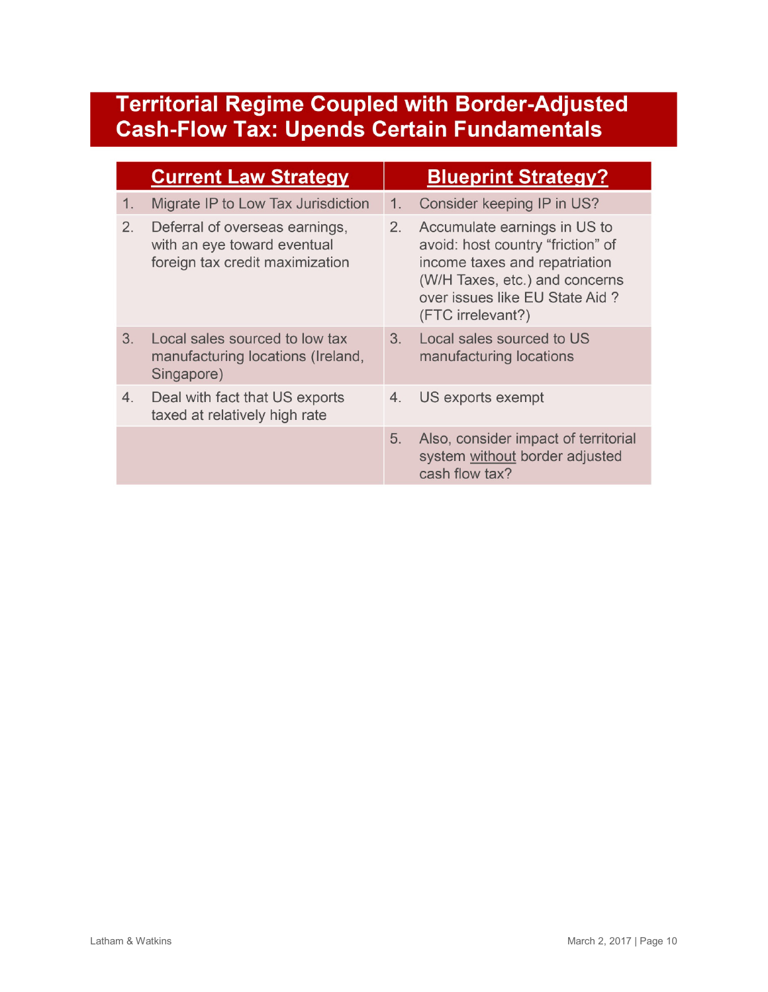# **Territorial Regime Coupled with Border-Adjusted Cash-Flow Tax: Upends Certain Fundamentals**

|    | <b>Current Law Strategy</b>                                                                      | <b>Blueprint Strategy?</b> |                                                                                                                                                                                             |
|----|--------------------------------------------------------------------------------------------------|----------------------------|---------------------------------------------------------------------------------------------------------------------------------------------------------------------------------------------|
| 1. | Migrate IP to Low Tax Jurisdiction                                                               | 1.                         | Consider keeping IP in US?                                                                                                                                                                  |
| 2. | Deferral of overseas earnings,<br>with an eye toward eventual<br>foreign tax credit maximization | 2.                         | Accumulate earnings in US to<br>avoid: host country "friction" of<br>income taxes and repatriation<br>(W/H Taxes, etc.) and concerns<br>over issues like EU State Aid?<br>(FTC irrelevant?) |
| 3. | Local sales sourced to low tax<br>manufacturing locations (Ireland,<br>Singapore)                | 3 <sub>1</sub>             | Local sales sourced to US<br>manufacturing locations                                                                                                                                        |
| 4. | Deal with fact that US exports<br>taxed at relatively high rate                                  | 4.                         | US exports exempt                                                                                                                                                                           |
|    |                                                                                                  | 5.                         | Also, consider impact of territorial<br>system without border adjusted<br>cash flow tax?                                                                                                    |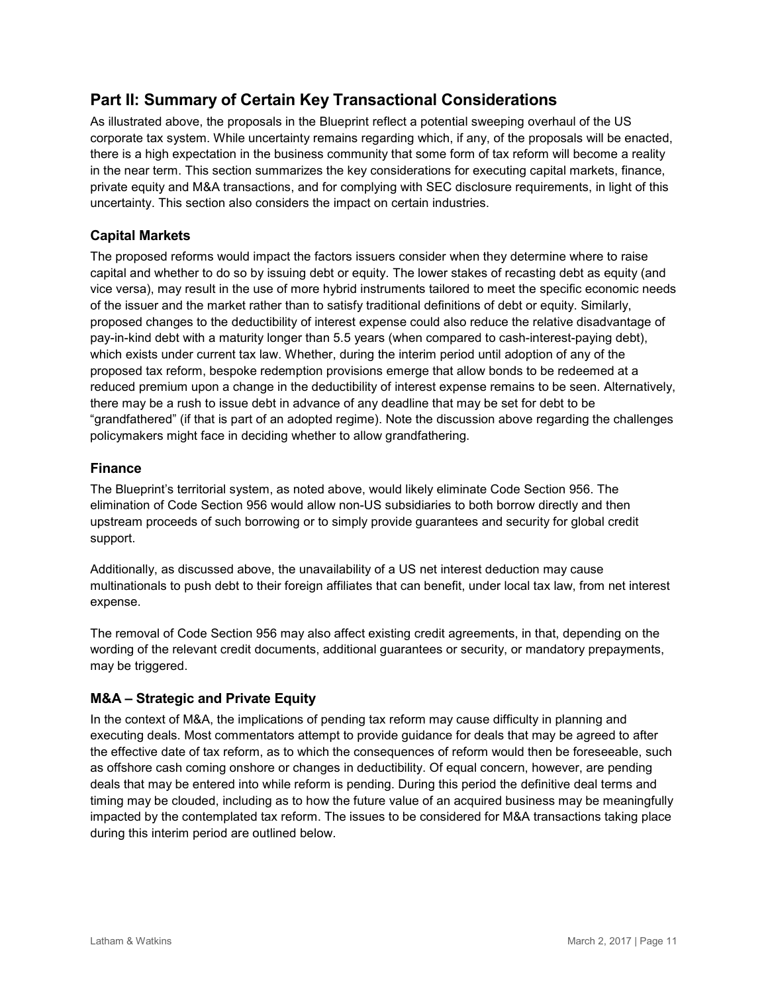# **Part II: Summary of Certain Key Transactional Considerations**

As illustrated above, the proposals in the Blueprint reflect a potential sweeping overhaul of the US corporate tax system. While uncertainty remains regarding which, if any, of the proposals will be enacted, there is a high expectation in the business community that some form of tax reform will become a reality in the near term. This section summarizes the key considerations for executing capital markets, finance, private equity and M&A transactions, and for complying with SEC disclosure requirements, in light of this uncertainty. This section also considers the impact on certain industries.

# **Capital Markets**

The proposed reforms would impact the factors issuers consider when they determine where to raise capital and whether to do so by issuing debt or equity. The lower stakes of recasting debt as equity (and vice versa), may result in the use of more hybrid instruments tailored to meet the specific economic needs of the issuer and the market rather than to satisfy traditional definitions of debt or equity. Similarly, proposed changes to the deductibility of interest expense could also reduce the relative disadvantage of pay-in-kind debt with a maturity longer than 5.5 years (when compared to cash-interest-paying debt), which exists under current tax law. Whether, during the interim period until adoption of any of the proposed tax reform, bespoke redemption provisions emerge that allow bonds to be redeemed at a reduced premium upon a change in the deductibility of interest expense remains to be seen. Alternatively, there may be a rush to issue debt in advance of any deadline that may be set for debt to be "grandfathered" (if that is part of an adopted regime). Note the discussion above regarding the challenges policymakers might face in deciding whether to allow grandfathering.

# **Finance**

The Blueprint's territorial system, as noted above, would likely eliminate Code Section 956. The elimination of Code Section 956 would allow non-US subsidiaries to both borrow directly and then upstream proceeds of such borrowing or to simply provide guarantees and security for global credit support.

Additionally, as discussed above, the unavailability of a US net interest deduction may cause multinationals to push debt to their foreign affiliates that can benefit, under local tax law, from net interest expense.

The removal of Code Section 956 may also affect existing credit agreements, in that, depending on the wording of the relevant credit documents, additional guarantees or security, or mandatory prepayments, may be triggered.

# **M&A – Strategic and Private Equity**

In the context of M&A, the implications of pending tax reform may cause difficulty in planning and executing deals. Most commentators attempt to provide guidance for deals that may be agreed to after the effective date of tax reform, as to which the consequences of reform would then be foreseeable, such as offshore cash coming onshore or changes in deductibility. Of equal concern, however, are pending deals that may be entered into while reform is pending. During this period the definitive deal terms and timing may be clouded, including as to how the future value of an acquired business may be meaningfully impacted by the contemplated tax reform. The issues to be considered for M&A transactions taking place during this interim period are outlined below.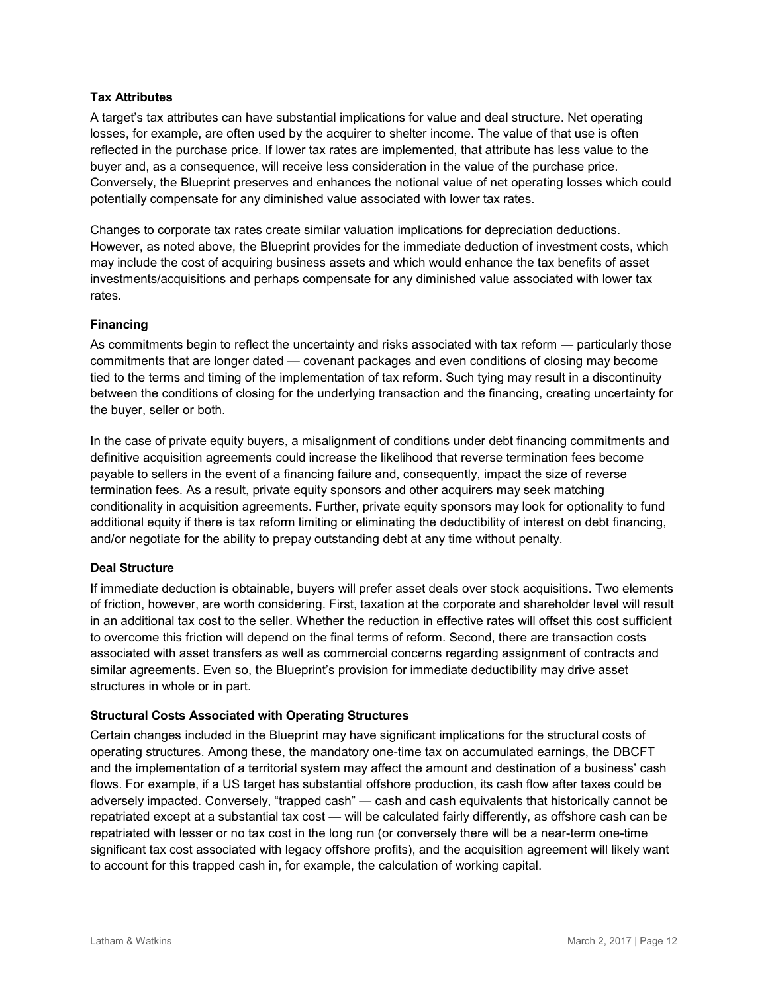### **Tax Attributes**

A target's tax attributes can have substantial implications for value and deal structure. Net operating losses, for example, are often used by the acquirer to shelter income. The value of that use is often reflected in the purchase price. If lower tax rates are implemented, that attribute has less value to the buyer and, as a consequence, will receive less consideration in the value of the purchase price. Conversely, the Blueprint preserves and enhances the notional value of net operating losses which could potentially compensate for any diminished value associated with lower tax rates.

Changes to corporate tax rates create similar valuation implications for depreciation deductions. However, as noted above, the Blueprint provides for the immediate deduction of investment costs, which may include the cost of acquiring business assets and which would enhance the tax benefits of asset investments/acquisitions and perhaps compensate for any diminished value associated with lower tax rates.

### **Financing**

As commitments begin to reflect the uncertainty and risks associated with tax reform — particularly those commitments that are longer dated — covenant packages and even conditions of closing may become tied to the terms and timing of the implementation of tax reform. Such tying may result in a discontinuity between the conditions of closing for the underlying transaction and the financing, creating uncertainty for the buyer, seller or both.

In the case of private equity buyers, a misalignment of conditions under debt financing commitments and definitive acquisition agreements could increase the likelihood that reverse termination fees become payable to sellers in the event of a financing failure and, consequently, impact the size of reverse termination fees. As a result, private equity sponsors and other acquirers may seek matching conditionality in acquisition agreements. Further, private equity sponsors may look for optionality to fund additional equity if there is tax reform limiting or eliminating the deductibility of interest on debt financing, and/or negotiate for the ability to prepay outstanding debt at any time without penalty.

#### **Deal Structure**

If immediate deduction is obtainable, buyers will prefer asset deals over stock acquisitions. Two elements of friction, however, are worth considering. First, taxation at the corporate and shareholder level will result in an additional tax cost to the seller. Whether the reduction in effective rates will offset this cost sufficient to overcome this friction will depend on the final terms of reform. Second, there are transaction costs associated with asset transfers as well as commercial concerns regarding assignment of contracts and similar agreements. Even so, the Blueprint's provision for immediate deductibility may drive asset structures in whole or in part.

#### **Structural Costs Associated with Operating Structures**

Certain changes included in the Blueprint may have significant implications for the structural costs of operating structures. Among these, the mandatory one-time tax on accumulated earnings, the DBCFT and the implementation of a territorial system may affect the amount and destination of a business' cash flows. For example, if a US target has substantial offshore production, its cash flow after taxes could be adversely impacted. Conversely, "trapped cash" — cash and cash equivalents that historically cannot be repatriated except at a substantial tax cost — will be calculated fairly differently, as offshore cash can be repatriated with lesser or no tax cost in the long run (or conversely there will be a near-term one-time significant tax cost associated with legacy offshore profits), and the acquisition agreement will likely want to account for this trapped cash in, for example, the calculation of working capital.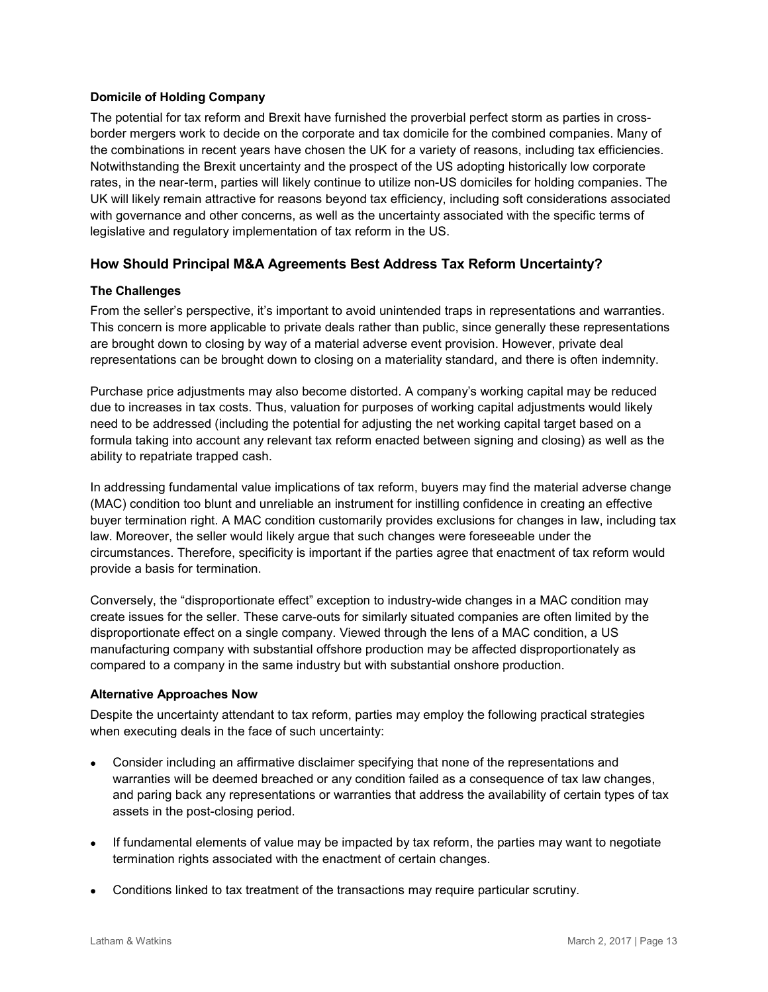# **Domicile of Holding Company**

The potential for tax reform and Brexit have furnished the proverbial perfect storm as parties in crossborder mergers work to decide on the corporate and tax domicile for the combined companies. Many of the combinations in recent years have chosen the UK for a variety of reasons, including tax efficiencies. Notwithstanding the Brexit uncertainty and the prospect of the US adopting historically low corporate rates, in the near-term, parties will likely continue to utilize non-US domiciles for holding companies. The UK will likely remain attractive for reasons beyond tax efficiency, including soft considerations associated with governance and other concerns, as well as the uncertainty associated with the specific terms of legislative and regulatory implementation of tax reform in the US.

# **How Should Principal M&A Agreements Best Address Tax Reform Uncertainty?**

#### **The Challenges**

From the seller's perspective, it's important to avoid unintended traps in representations and warranties. This concern is more applicable to private deals rather than public, since generally these representations are brought down to closing by way of a material adverse event provision. However, private deal representations can be brought down to closing on a materiality standard, and there is often indemnity.

Purchase price adjustments may also become distorted. A company's working capital may be reduced due to increases in tax costs. Thus, valuation for purposes of working capital adjustments would likely need to be addressed (including the potential for adjusting the net working capital target based on a formula taking into account any relevant tax reform enacted between signing and closing) as well as the ability to repatriate trapped cash.

In addressing fundamental value implications of tax reform, buyers may find the material adverse change (MAC) condition too blunt and unreliable an instrument for instilling confidence in creating an effective buyer termination right. A MAC condition customarily provides exclusions for changes in law, including tax law. Moreover, the seller would likely argue that such changes were foreseeable under the circumstances. Therefore, specificity is important if the parties agree that enactment of tax reform would provide a basis for termination.

Conversely, the "disproportionate effect" exception to industry-wide changes in a MAC condition may create issues for the seller. These carve-outs for similarly situated companies are often limited by the disproportionate effect on a single company. Viewed through the lens of a MAC condition, a US manufacturing company with substantial offshore production may be affected disproportionately as compared to a company in the same industry but with substantial onshore production.

#### **Alternative Approaches Now**

Despite the uncertainty attendant to tax reform, parties may employ the following practical strategies when executing deals in the face of such uncertainty:

- Consider including an affirmative disclaimer specifying that none of the representations and warranties will be deemed breached or any condition failed as a consequence of tax law changes, and paring back any representations or warranties that address the availability of certain types of tax assets in the post-closing period.
- If fundamental elements of value may be impacted by tax reform, the parties may want to negotiate termination rights associated with the enactment of certain changes.
- Conditions linked to tax treatment of the transactions may require particular scrutiny.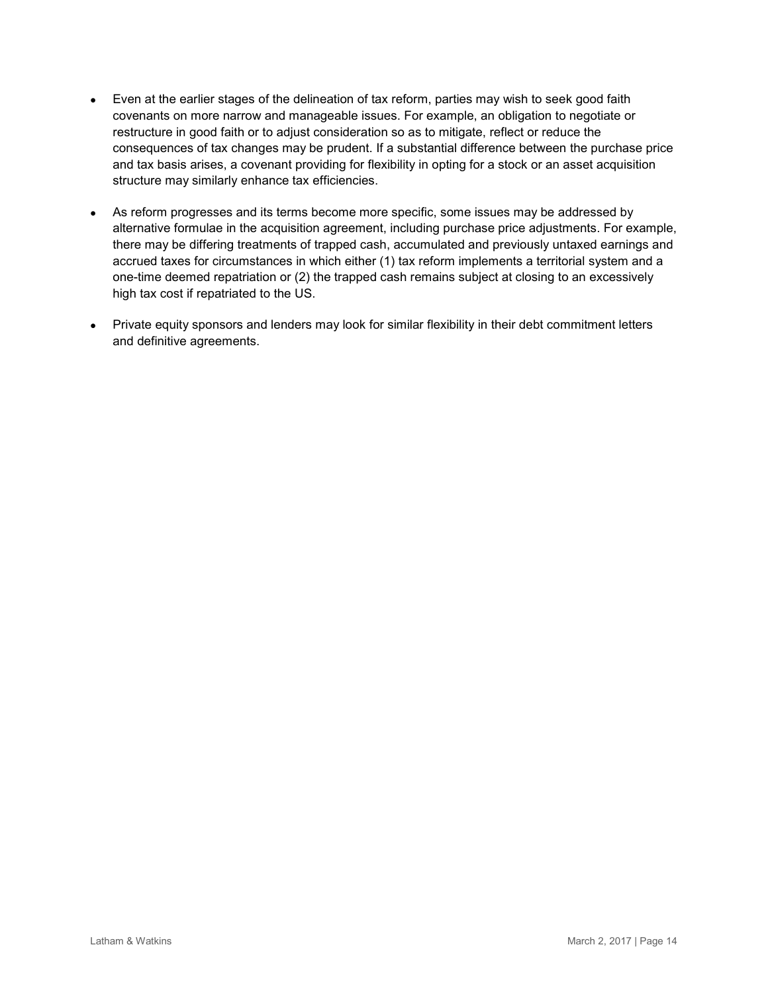- Even at the earlier stages of the delineation of tax reform, parties may wish to seek good faith covenants on more narrow and manageable issues. For example, an obligation to negotiate or restructure in good faith or to adjust consideration so as to mitigate, reflect or reduce the consequences of tax changes may be prudent. If a substantial difference between the purchase price and tax basis arises, a covenant providing for flexibility in opting for a stock or an asset acquisition structure may similarly enhance tax efficiencies.
- As reform progresses and its terms become more specific, some issues may be addressed by alternative formulae in the acquisition agreement, including purchase price adjustments. For example, there may be differing treatments of trapped cash, accumulated and previously untaxed earnings and accrued taxes for circumstances in which either (1) tax reform implements a territorial system and a one-time deemed repatriation or (2) the trapped cash remains subject at closing to an excessively high tax cost if repatriated to the US.
- Private equity sponsors and lenders may look for similar flexibility in their debt commitment letters and definitive agreements.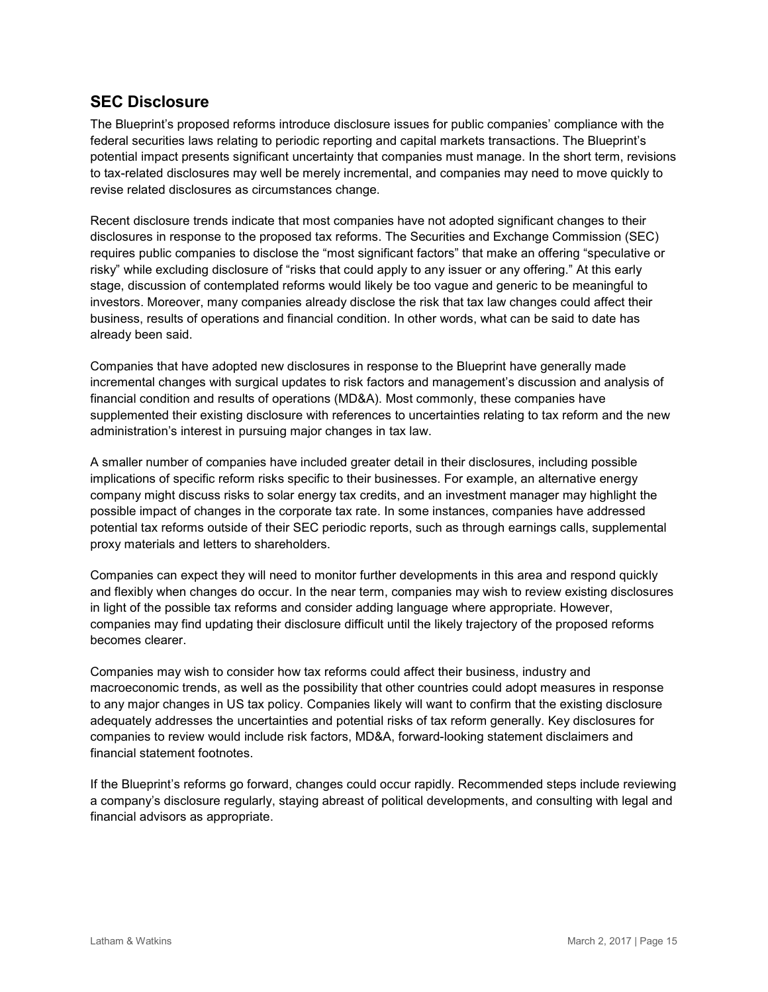# **SEC Disclosure**

The Blueprint's proposed reforms introduce disclosure issues for public companies' compliance with the federal securities laws relating to periodic reporting and capital markets transactions. The Blueprint's potential impact presents significant uncertainty that companies must manage. In the short term, revisions to tax-related disclosures may well be merely incremental, and companies may need to move quickly to revise related disclosures as circumstances change.

Recent disclosure trends indicate that most companies have not adopted significant changes to their disclosures in response to the proposed tax reforms. The Securities and Exchange Commission (SEC) requires public companies to disclose the "most significant factors" that make an offering "speculative or risky" while excluding disclosure of "risks that could apply to any issuer or any offering." At this early stage, discussion of contemplated reforms would likely be too vague and generic to be meaningful to investors. Moreover, many companies already disclose the risk that tax law changes could affect their business, results of operations and financial condition. In other words, what can be said to date has already been said.

Companies that have adopted new disclosures in response to the Blueprint have generally made incremental changes with surgical updates to risk factors and management's discussion and analysis of financial condition and results of operations (MD&A). Most commonly, these companies have supplemented their existing disclosure with references to uncertainties relating to tax reform and the new administration's interest in pursuing major changes in tax law.

A smaller number of companies have included greater detail in their disclosures, including possible implications of specific reform risks specific to their businesses. For example, an alternative energy company might discuss risks to solar energy tax credits, and an investment manager may highlight the possible impact of changes in the corporate tax rate. In some instances, companies have addressed potential tax reforms outside of their SEC periodic reports, such as through earnings calls, supplemental proxy materials and letters to shareholders.

Companies can expect they will need to monitor further developments in this area and respond quickly and flexibly when changes do occur. In the near term, companies may wish to review existing disclosures in light of the possible tax reforms and consider adding language where appropriate. However, companies may find updating their disclosure difficult until the likely trajectory of the proposed reforms becomes clearer.

Companies may wish to consider how tax reforms could affect their business, industry and macroeconomic trends, as well as the possibility that other countries could adopt measures in response to any major changes in US tax policy. Companies likely will want to confirm that the existing disclosure adequately addresses the uncertainties and potential risks of tax reform generally. Key disclosures for companies to review would include risk factors, MD&A, forward-looking statement disclaimers and financial statement footnotes.

If the Blueprint's reforms go forward, changes could occur rapidly. Recommended steps include reviewing a company's disclosure regularly, staying abreast of political developments, and consulting with legal and financial advisors as appropriate.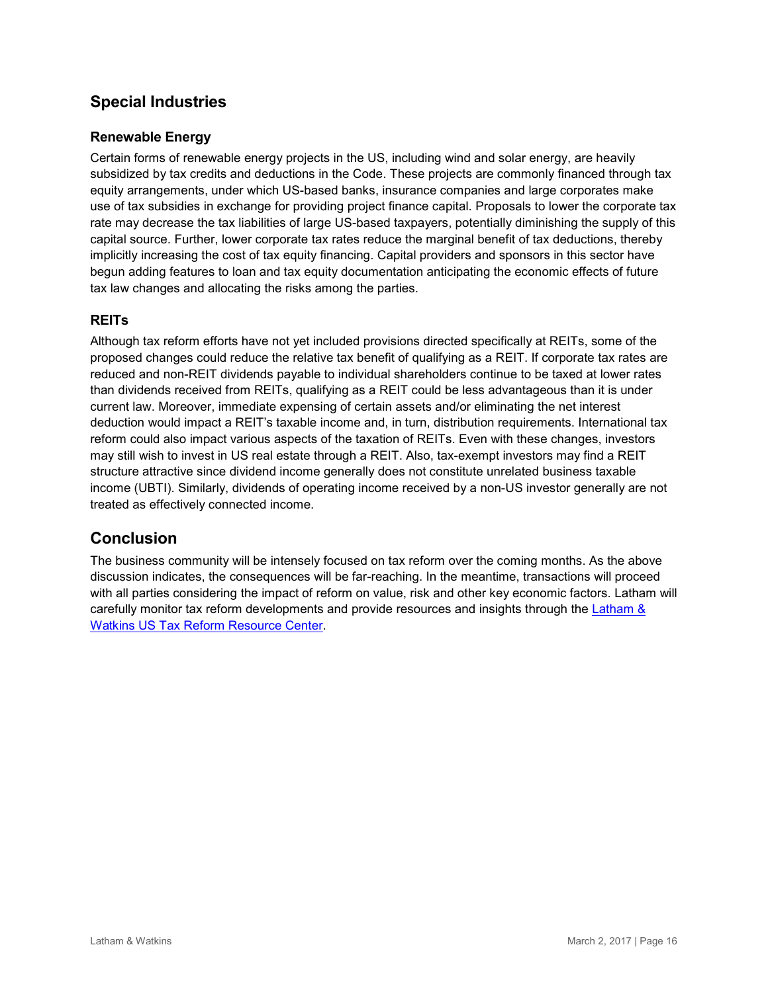# **Special Industries**

# **Renewable Energy**

Certain forms of renewable energy projects in the US, including wind and solar energy, are heavily subsidized by tax credits and deductions in the Code. These projects are commonly financed through tax equity arrangements, under which US-based banks, insurance companies and large corporates make use of tax subsidies in exchange for providing project finance capital. Proposals to lower the corporate tax rate may decrease the tax liabilities of large US-based taxpayers, potentially diminishing the supply of this capital source. Further, lower corporate tax rates reduce the marginal benefit of tax deductions, thereby implicitly increasing the cost of tax equity financing. Capital providers and sponsors in this sector have begun adding features to loan and tax equity documentation anticipating the economic effects of future tax law changes and allocating the risks among the parties.

# **REITs**

Although tax reform efforts have not yet included provisions directed specifically at REITs, some of the proposed changes could reduce the relative tax benefit of qualifying as a REIT. If corporate tax rates are reduced and non-REIT dividends payable to individual shareholders continue to be taxed at lower rates than dividends received from REITs, qualifying as a REIT could be less advantageous than it is under current law. Moreover, immediate expensing of certain assets and/or eliminating the net interest deduction would impact a REIT's taxable income and, in turn, distribution requirements. International tax reform could also impact various aspects of the taxation of REITs. Even with these changes, investors may still wish to invest in US real estate through a REIT. Also, tax-exempt investors may find a REIT structure attractive since dividend income generally does not constitute unrelated business taxable income (UBTI). Similarly, dividends of operating income received by a non-US investor generally are not treated as effectively connected income.

# **Conclusion**

The business community will be intensely focused on tax reform over the coming months. As the above discussion indicates, the consequences will be far-reaching. In the meantime, transactions will proceed with all parties considering the impact of reform on value, risk and other key economic factors. Latham will carefully monitor tax reform developments and provide resources and insights through the [Latham &](https://www.lw.com/practices/USTaxReform)  [Watkins US Tax Reform Resource Center.](https://www.lw.com/practices/USTaxReform)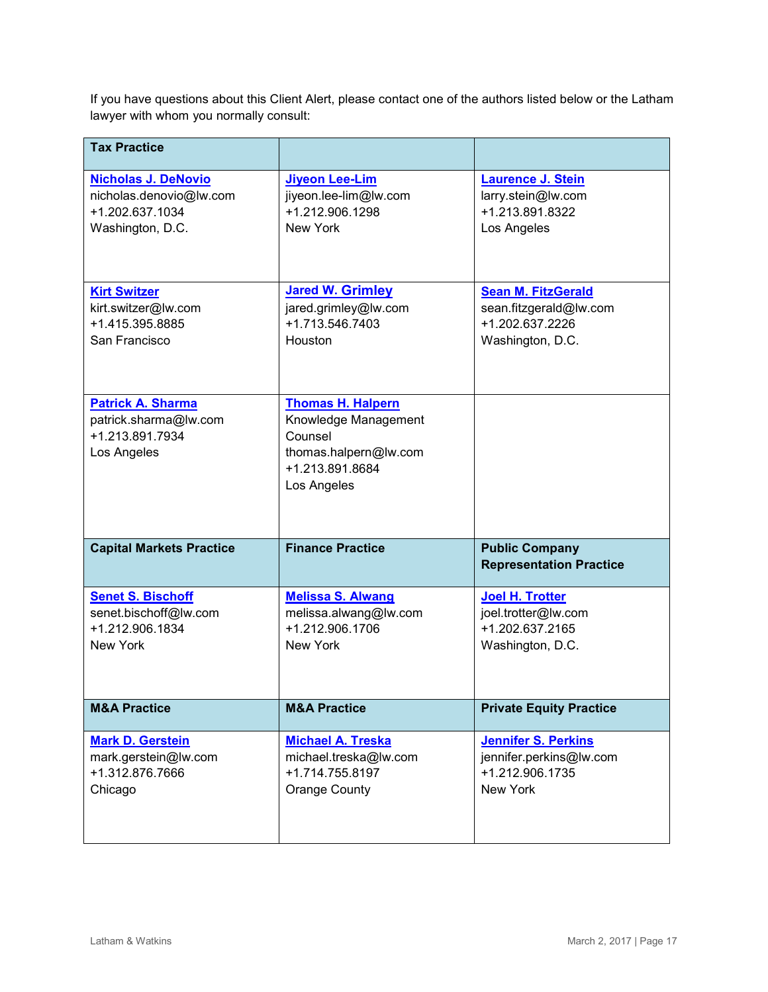If you have questions about this Client Alert, please contact one of the authors listed below or the Latham lawyer with whom you normally consult:

| <b>Tax Practice</b>                                                                 |                                                                                                                        |                                                         |
|-------------------------------------------------------------------------------------|------------------------------------------------------------------------------------------------------------------------|---------------------------------------------------------|
| <b>Nicholas J. DeNovio</b>                                                          | <b>Jiyeon Lee-Lim</b>                                                                                                  | <b>Laurence J. Stein</b>                                |
| nicholas.denovio@lw.com                                                             | jiyeon.lee-lim@lw.com                                                                                                  | larry.stein@lw.com                                      |
| +1.202.637.1034                                                                     | +1.212.906.1298                                                                                                        | +1.213.891.8322                                         |
| Washington, D.C.                                                                    | New York                                                                                                               | Los Angeles                                             |
| <b>Kirt Switzer</b>                                                                 | <b>Jared W. Grimley</b>                                                                                                | <b>Sean M. FitzGerald</b>                               |
| kirt.switzer@lw.com                                                                 | jared.grimley@lw.com                                                                                                   | sean.fitzgerald@lw.com                                  |
| +1.415.395.8885                                                                     | +1.713.546.7403                                                                                                        | +1.202.637.2226                                         |
| San Francisco                                                                       | Houston                                                                                                                | Washington, D.C.                                        |
| <b>Patrick A. Sharma</b><br>patrick.sharma@lw.com<br>+1.213.891.7934<br>Los Angeles | <b>Thomas H. Halpern</b><br>Knowledge Management<br>Counsel<br>thomas.halpern@lw.com<br>+1.213.891.8684<br>Los Angeles |                                                         |
| <b>Capital Markets Practice</b>                                                     | <b>Finance Practice</b>                                                                                                | <b>Public Company</b><br><b>Representation Practice</b> |
| <b>Senet S. Bischoff</b>                                                            | <b>Melissa S. Alwang</b>                                                                                               | <b>Joel H. Trotter</b>                                  |
| senet.bischoff@lw.com                                                               | melissa.alwang@lw.com                                                                                                  | joel.trotter@lw.com                                     |
| +1.212.906.1834                                                                     | +1.212.906.1706                                                                                                        | +1.202.637.2165                                         |
| <b>New York</b>                                                                     | <b>New York</b>                                                                                                        | Washington, D.C.                                        |
| <b>M&amp;A Practice</b>                                                             | <b>M&amp;A Practice</b>                                                                                                | <b>Private Equity Practice</b>                          |
| <b>Mark D. Gerstein</b>                                                             | <b>Michael A. Treska</b>                                                                                               | <b>Jennifer S. Perkins</b>                              |
| mark.gerstein@lw.com                                                                | michael.treska@lw.com                                                                                                  | jennifer.perkins@lw.com                                 |
| +1.312.876.7666                                                                     | +1.714.755.8197                                                                                                        | +1.212.906.1735                                         |
| Chicago                                                                             | <b>Orange County</b>                                                                                                   | New York                                                |